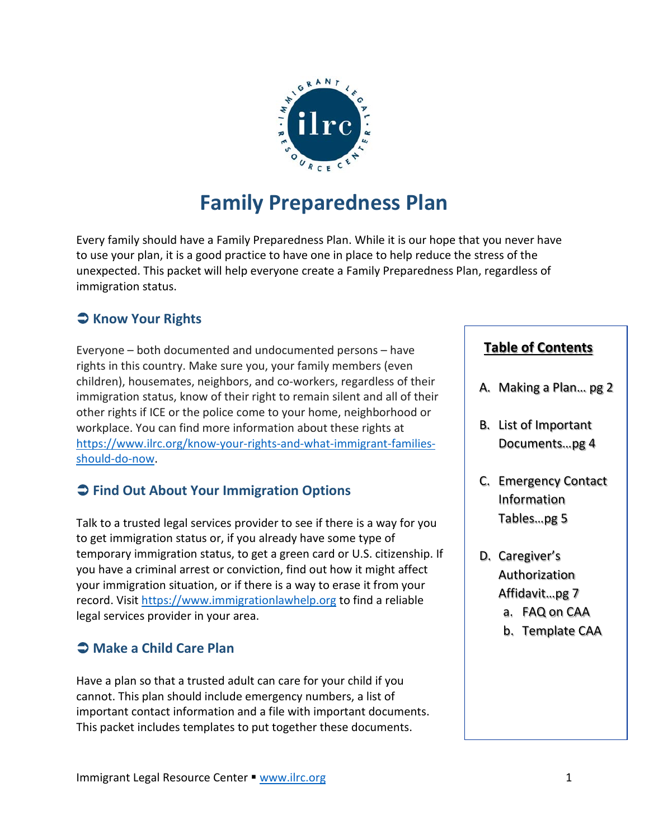

# **Family Preparedness Plan**

Every family should have a Family Preparedness Plan. While it is our hope that you never have to use your plan, it is a good practice to have one in place to help reduce the stress of the unexpected. This packet will help everyone create a Family Preparedness Plan, regardless of immigration status.

# **Know Your Rights**

Everyone – both documented and undocumented persons – have rights in this country. Make sure you, your family members (even children), housemates, neighbors, and co-workers, regardless of their immigration status, know of their right to remain silent and all of their other rights if ICE or the police come to your home, neighborhood or workplace. You can find more information about these rights at [https://www.ilrc.org/know-your-rights-and-what-immigrant-families](https://www.ilrc.org/know-your-rights-and-what-immigrant-families-should-do-now)[should-do-now.](https://www.ilrc.org/know-your-rights-and-what-immigrant-families-should-do-now)

### **Find Out About Your Immigration Options**

Talk to a trusted legal services provider to see if there is a way for you to get immigration status or, if you already have some type of temporary immigration status, to get a green card or U.S. citizenship. If you have a criminal arrest or conviction, find out how it might affect your immigration situation, or if there is a way to erase it from your record. Visit [https://www.immigrationlawhelp.org](https://www.immigrationlawhelp.org/) to find a reliable legal services provider in your area.

### **Make a Child Care Plan**

Have a plan so that a trusted adult can care for your child if you cannot. This plan should include emergency numbers, a list of important contact information and a file with important documents. This packet includes templates to put together these documents.

#### **Table of Contents**

- A. Making a Plan… pg 2
- B. List of Important Documents…pg 4
- C. Emergency Contact Information Tables…pg 5
- D. Caregiver's Authorization Affidavit…pg 7
	- a. FAQ on CAA
	- b. Template CAA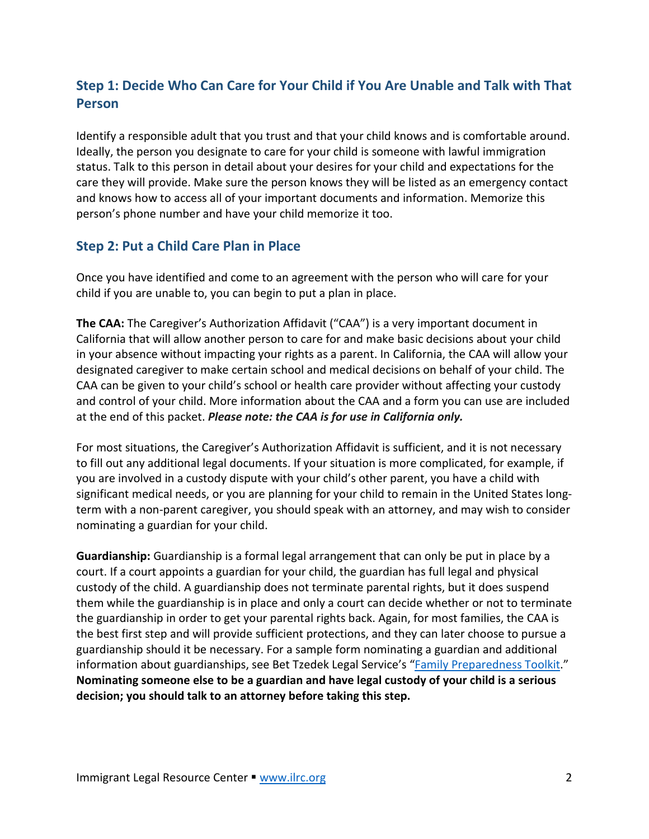### **Step 1: Decide Who Can Care for Your Child if You Are Unable and Talk with That Person**

Identify a responsible adult that you trust and that your child knows and is comfortable around. Ideally, the person you designate to care for your child is someone with lawful immigration status. Talk to this person in detail about your desires for your child and expectations for the care they will provide. Make sure the person knows they will be listed as an emergency contact and knows how to access all of your important documents and information. Memorize this person's phone number and have your child memorize it too.

#### **Step 2: Put a Child Care Plan in Place**

Once you have identified and come to an agreement with the person who will care for your child if you are unable to, you can begin to put a plan in place.

**The CAA:** The Caregiver's Authorization Affidavit ("CAA") is a very important document in California that will allow another person to care for and make basic decisions about your child in your absence without impacting your rights as a parent. In California, the CAA will allow your designated caregiver to make certain school and medical decisions on behalf of your child. The CAA can be given to your child's school or health care provider without affecting your custody and control of your child. More information about the CAA and a form you can use are included at the end of this packet. *Please note: the CAA is for use in California only.*

For most situations, the Caregiver's Authorization Affidavit is sufficient, and it is not necessary to fill out any additional legal documents. If your situation is more complicated, for example, if you are involved in a custody dispute with your child's other parent, you have a child with significant medical needs, or you are planning for your child to remain in the United States longterm with a non-parent caregiver, you should speak with an attorney, and may wish to consider nominating a guardian for your child.

**Guardianship:** Guardianship is a formal legal arrangement that can only be put in place by a court. If a court appoints a guardian for your child, the guardian has full legal and physical custody of the child. A guardianship does not terminate parental rights, but it does suspend them while the guardianship is in place and only a court can decide whether or not to terminate the guardianship in order to get your parental rights back. Again, for most families, the CAA is the best first step and will provide sufficient protections, and they can later choose to pursue a guardianship should it be necessary. For a sample form nominating a guardian and additional information about guardianships, see Bet Tzedek Legal Service's ["Family Preparedness Toolkit.](https://www.bettzedek.org/our-services/rapid-response/)" **Nominating someone else to be a guardian and have legal custody of your child is a serious decision; you should talk to an attorney before taking this step.**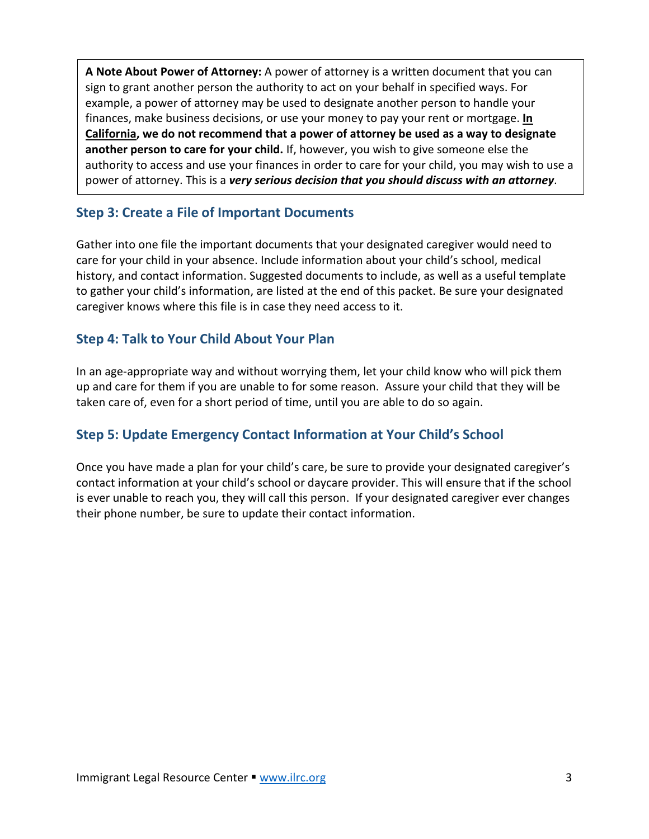**A Note About Power of Attorney:** A power of attorney is a written document that you can sign to grant another person the authority to act on your behalf in specified ways. For example, a power of attorney may be used to designate another person to handle your finances, make business decisions, or use your money to pay your rent or mortgage. **In California, we do not recommend that a power of attorney be used as a way to designate another person to care for your child.** If, however, you wish to give someone else the authority to access and use your finances in order to care for your child, you may wish to use a power of attorney. This is a *very serious decision that you should discuss with an attorney*.

#### **Step 3: Create a File of Important Documents**

Gather into one file the important documents that your designated caregiver would need to care for your child in your absence. Include information about your child's school, medical history, and contact information. Suggested documents to include, as well as a useful template to gather your child's information, are listed at the end of this packet. Be sure your designated caregiver knows where this file is in case they need access to it.

#### **Step 4: Talk to Your Child About Your Plan**

In an age-appropriate way and without worrying them, let your child know who will pick them up and care for them if you are unable to for some reason. Assure your child that they will be taken care of, even for a short period of time, until you are able to do so again.

### **Step 5: Update Emergency Contact Information at Your Child's School**

Once you have made a plan for your child's care, be sure to provide your designated caregiver's contact information at your child's school or daycare provider. This will ensure that if the school is ever unable to reach you, they will call this person. If your designated caregiver ever changes their phone number, be sure to update their contact information.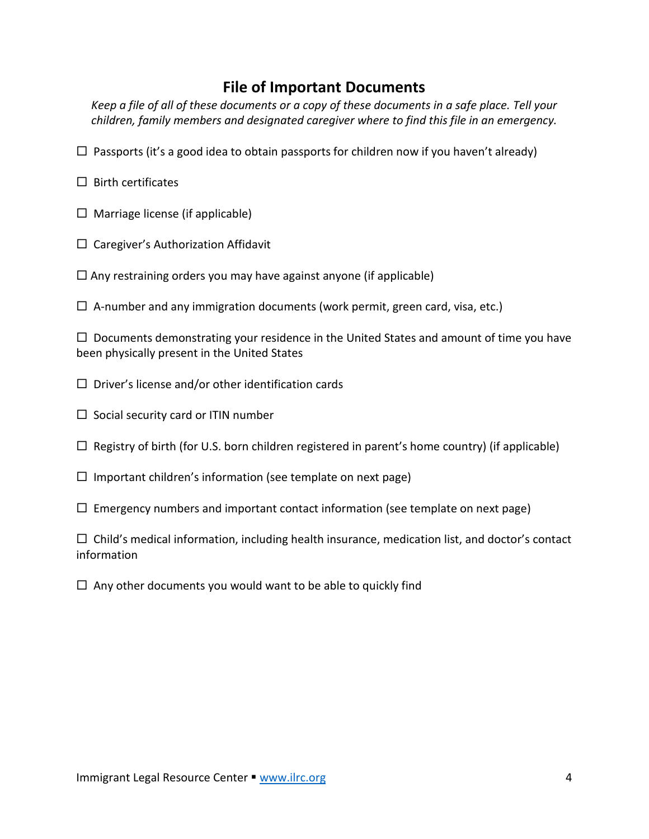### **File of Important Documents**

*Keep a file of all of these documents or a copy of these documents in a safe place. Tell your children, family members and designated caregiver where to find this file in an emergency.* 

- $\Box$  Passports (it's a good idea to obtain passports for children now if you haven't already)
- $\square$  Birth certificates
- $\Box$  Marriage license (if applicable)
- $\Box$  Caregiver's Authorization Affidavit
- $\Box$  Any restraining orders you may have against anyone (if applicable)
- $\Box$  A-number and any immigration documents (work permit, green card, visa, etc.)

 $\Box$  Documents demonstrating your residence in the United States and amount of time you have been physically present in the United States

- $\square$  Driver's license and/or other identification cards
- $\Box$  Social security card or ITIN number
- $\Box$  Registry of birth (for U.S. born children registered in parent's home country) (if applicable)
- $\Box$  Important children's information (see template on next page)
- $\Box$  Emergency numbers and important contact information (see template on next page)

 $\Box$  Child's medical information, including health insurance, medication list, and doctor's contact information

 $\Box$  Any other documents you would want to be able to quickly find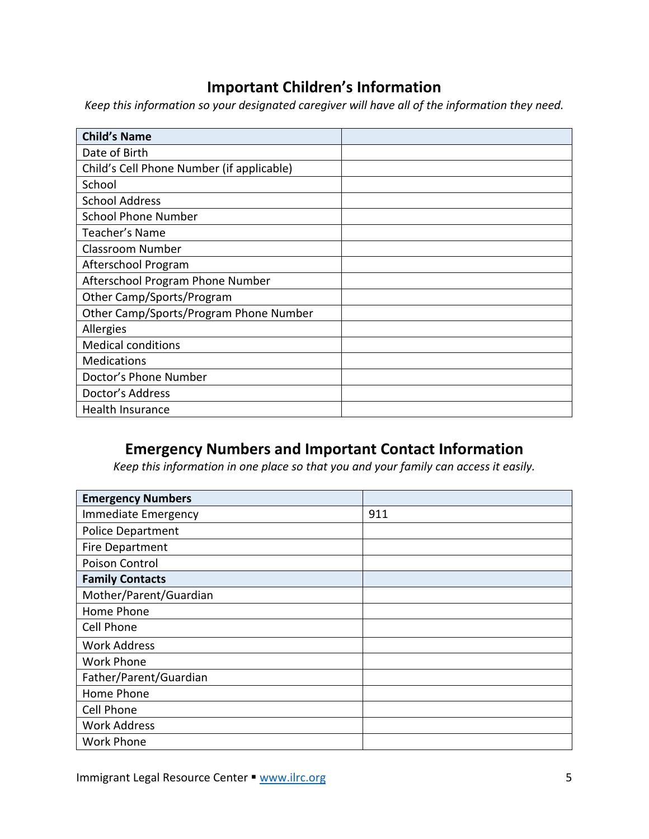# **Important Children's Information**

*Keep this information so your designated caregiver will have all of the information they need.*

| <b>Child's Name</b>                       |  |
|-------------------------------------------|--|
| Date of Birth                             |  |
| Child's Cell Phone Number (if applicable) |  |
| School                                    |  |
| <b>School Address</b>                     |  |
| <b>School Phone Number</b>                |  |
| Teacher's Name                            |  |
| Classroom Number                          |  |
| Afterschool Program                       |  |
| Afterschool Program Phone Number          |  |
| Other Camp/Sports/Program                 |  |
| Other Camp/Sports/Program Phone Number    |  |
| Allergies                                 |  |
| <b>Medical conditions</b>                 |  |
| <b>Medications</b>                        |  |
| Doctor's Phone Number                     |  |
| Doctor's Address                          |  |
| Health Insurance                          |  |

# **Emergency Numbers and Important Contact Information**

*Keep this information in one place so that you and your family can access it easily.*

| <b>Emergency Numbers</b> |     |
|--------------------------|-----|
| Immediate Emergency      | 911 |
| <b>Police Department</b> |     |
| Fire Department          |     |
| Poison Control           |     |
| <b>Family Contacts</b>   |     |
| Mother/Parent/Guardian   |     |
| Home Phone               |     |
| Cell Phone               |     |
| <b>Work Address</b>      |     |
| <b>Work Phone</b>        |     |
| Father/Parent/Guardian   |     |
| Home Phone               |     |
| Cell Phone               |     |
| <b>Work Address</b>      |     |
| <b>Work Phone</b>        |     |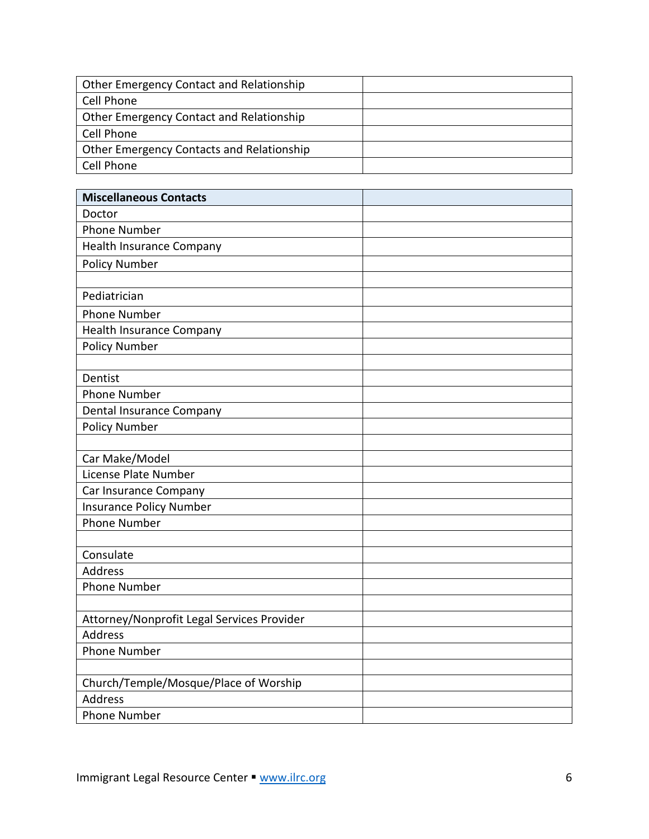| Other Emergency Contact and Relationship  |  |
|-------------------------------------------|--|
| Cell Phone                                |  |
| Other Emergency Contact and Relationship  |  |
| Cell Phone                                |  |
| Other Emergency Contacts and Relationship |  |
| Cell Phone                                |  |

| <b>Miscellaneous Contacts</b>              |  |
|--------------------------------------------|--|
| Doctor                                     |  |
| <b>Phone Number</b>                        |  |
| <b>Health Insurance Company</b>            |  |
| <b>Policy Number</b>                       |  |
|                                            |  |
| Pediatrician                               |  |
| <b>Phone Number</b>                        |  |
| Health Insurance Company                   |  |
| <b>Policy Number</b>                       |  |
|                                            |  |
| Dentist                                    |  |
| <b>Phone Number</b>                        |  |
| Dental Insurance Company                   |  |
| <b>Policy Number</b>                       |  |
|                                            |  |
| Car Make/Model                             |  |
| License Plate Number                       |  |
| Car Insurance Company                      |  |
| <b>Insurance Policy Number</b>             |  |
| <b>Phone Number</b>                        |  |
|                                            |  |
| Consulate                                  |  |
| <b>Address</b>                             |  |
| <b>Phone Number</b>                        |  |
|                                            |  |
| Attorney/Nonprofit Legal Services Provider |  |
| <b>Address</b>                             |  |
| <b>Phone Number</b>                        |  |
| Church/Temple/Mosque/Place of Worship      |  |
| <b>Address</b>                             |  |
| <b>Phone Number</b>                        |  |
|                                            |  |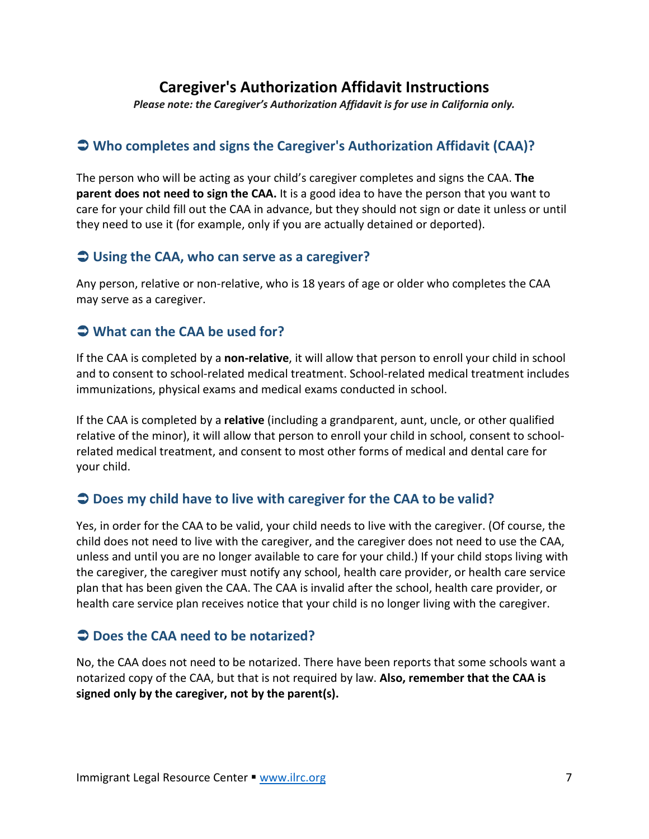# **Caregiver's Authorization Affidavit Instructions**

*Please note: the Caregiver's Authorization Affidavit is for use in California only.*

### **Who completes and signs the Caregiver's Authorization Affidavit (CAA)?**

The person who will be acting as your child's caregiver completes and signs the CAA. **The parent does not need to sign the CAA.** It is a good idea to have the person that you want to care for your child fill out the CAA in advance, but they should not sign or date it unless or until they need to use it (for example, only if you are actually detained or deported).

#### **Using the CAA, who can serve as a caregiver?**

Any person, relative or non-relative, who is 18 years of age or older who completes the CAA may serve as a caregiver.

### **What can the CAA be used for?**

If the CAA is completed by a **non-relative**, it will allow that person to enroll your child in school and to consent to school-related medical treatment. School-related medical treatment includes immunizations, physical exams and medical exams conducted in school.

If the CAA is completed by a **relative** (including a grandparent, aunt, uncle, or other qualified relative of the minor), it will allow that person to enroll your child in school, consent to schoolrelated medical treatment, and consent to most other forms of medical and dental care for your child.

### **Does my child have to live with caregiver for the CAA to be valid?**

Yes, in order for the CAA to be valid, your child needs to live with the caregiver. (Of course, the child does not need to live with the caregiver, and the caregiver does not need to use the CAA, unless and until you are no longer available to care for your child.) If your child stops living with the caregiver, the caregiver must notify any school, health care provider, or health care service plan that has been given the CAA. The CAA is invalid after the school, health care provider, or health care service plan receives notice that your child is no longer living with the caregiver.

### **Does the CAA need to be notarized?**

No, the CAA does not need to be notarized. There have been reports that some schools want a notarized copy of the CAA, but that is not required by law. **Also, remember that the CAA is signed only by the caregiver, not by the parent(s).**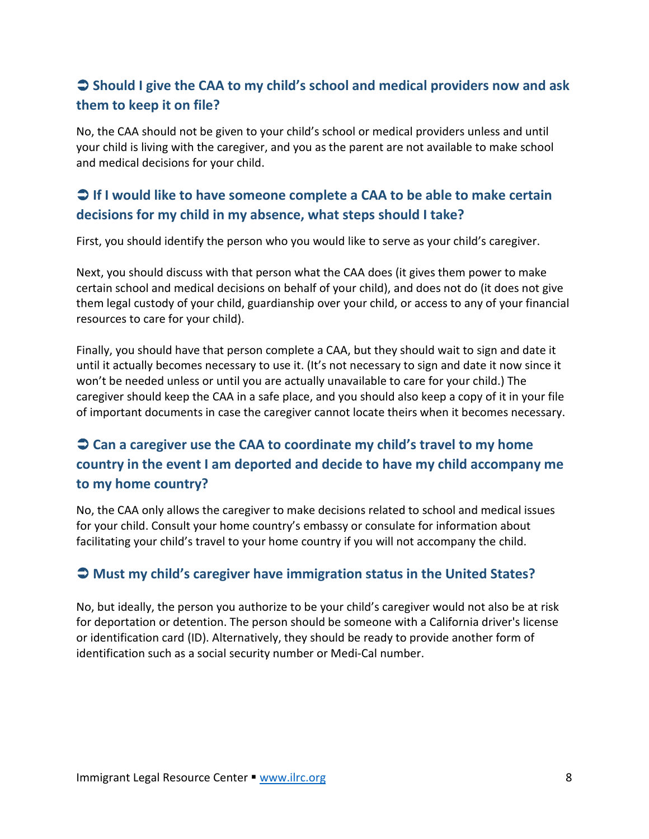### **Should I give the CAA to my child's school and medical providers now and ask them to keep it on file?**

No, the CAA should not be given to your child's school or medical providers unless and until your child is living with the caregiver, and you as the parent are not available to make school and medical decisions for your child.

### **If I would like to have someone complete a CAA to be able to make certain decisions for my child in my absence, what steps should I take?**

First, you should identify the person who you would like to serve as your child's caregiver.

Next, you should discuss with that person what the CAA does (it gives them power to make certain school and medical decisions on behalf of your child), and does not do (it does not give them legal custody of your child, guardianship over your child, or access to any of your financial resources to care for your child).

Finally, you should have that person complete a CAA, but they should wait to sign and date it until it actually becomes necessary to use it. (It's not necessary to sign and date it now since it won't be needed unless or until you are actually unavailable to care for your child.) The caregiver should keep the CAA in a safe place, and you should also keep a copy of it in your file of important documents in case the caregiver cannot locate theirs when it becomes necessary.

# **Can a caregiver use the CAA to coordinate my child's travel to my home country in the event I am deported and decide to have my child accompany me to my home country?**

No, the CAA only allows the caregiver to make decisions related to school and medical issues for your child. Consult your home country's embassy or consulate for information about facilitating your child's travel to your home country if you will not accompany the child.

### **Must my child's caregiver have immigration status in the United States?**

No, but ideally, the person you authorize to be your child's caregiver would not also be at risk for deportation or detention. The person should be someone with a California driver's license or identification card (ID). Alternatively, they should be ready to provide another form of identification such as a social security number or Medi-Cal number.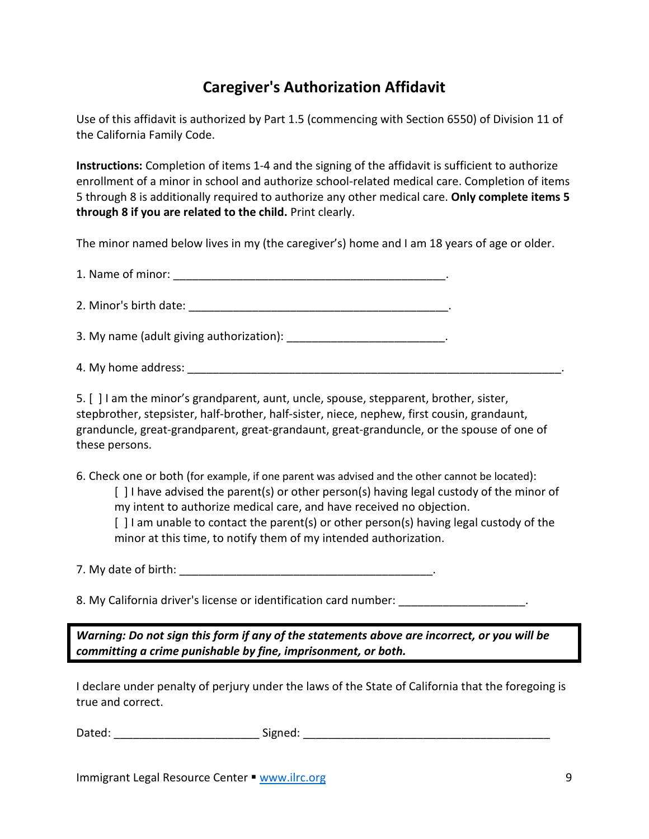# **Caregiver's Authorization Affidavit**

Use of this affidavit is authorized by Part 1.5 (commencing with Section 6550) of Division 11 of the California Family Code.

**Instructions:** Completion of items 1-4 and the signing of the affidavit is sufficient to authorize enrollment of a minor in school and authorize school-related medical care. Completion of items 5 through 8 is additionally required to authorize any other medical care. **Only complete items 5 through 8 if you are related to the child.** Print clearly.

The minor named below lives in my (the caregiver's) home and I am 18 years of age or older.

1. Name of minor:

2. Minor's birth date: \_\_\_\_\_\_\_\_\_\_\_\_\_\_\_\_\_\_\_\_\_\_\_\_\_\_\_\_\_\_\_\_\_\_\_\_\_\_\_\_\_.

3. My name (adult giving authorization): \_\_\_\_\_\_\_\_\_\_\_\_\_\_\_\_\_\_\_\_\_\_\_\_\_.

4. My home address:  $\blacksquare$ 

5. [ ] I am the minor's grandparent, aunt, uncle, spouse, stepparent, brother, sister, stepbrother, stepsister, half-brother, half-sister, niece, nephew, first cousin, grandaunt, granduncle, great-grandparent, great-grandaunt, great-granduncle, or the spouse of one of these persons.

6. Check one or both (for example, if one parent was advised and the other cannot be located):

[ ] I have advised the parent(s) or other person(s) having legal custody of the minor of my intent to authorize medical care, and have received no objection.

[ ] I am unable to contact the parent(s) or other person(s) having legal custody of the minor at this time, to notify them of my intended authorization.

7. My date of birth: \_\_\_\_\_\_\_\_\_\_\_\_\_\_\_\_\_\_\_\_\_\_\_\_\_\_\_\_\_\_\_\_\_\_\_\_\_\_\_\_.

8. My California driver's license or identification card number:  $\qquad \qquad$ 

*Warning: Do not sign this form if any of the statements above are incorrect, or you will be committing a crime punishable by fine, imprisonment, or both.*

I declare under penalty of perjury under the laws of the State of California that the foregoing is true and correct.

Dated: \_\_\_\_\_\_\_\_\_\_\_\_\_\_\_\_\_\_\_\_\_\_\_\_\_\_\_\_\_\_\_\_\_Signed: \_\_\_\_\_\_\_\_\_\_\_\_\_\_\_\_\_\_\_\_\_\_\_\_\_\_\_\_\_\_\_\_

Immigrant Legal Resource Center  $\blacksquare$  [www.ilrc.org](http://www.ilrc.org/) 9